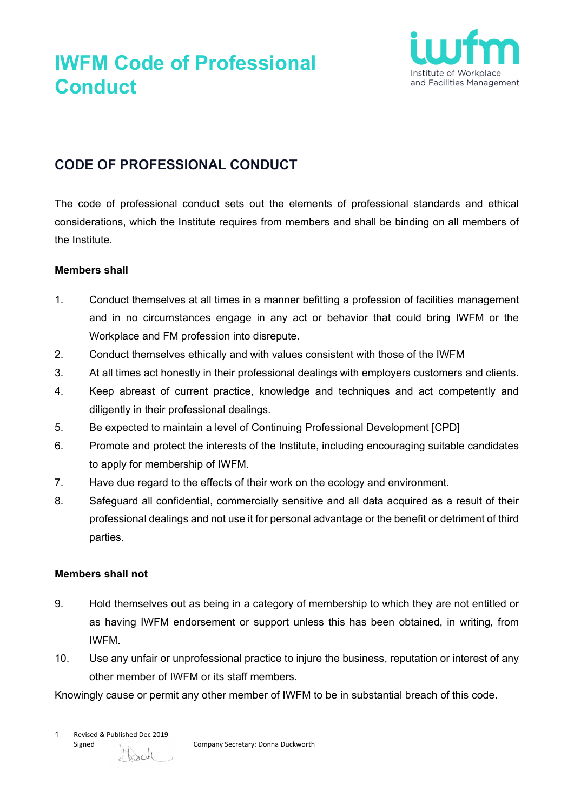# **IWFM Code of Professional Conduct**



## **CODE OF PROFESSIONAL CONDUCT**

The code of professional conduct sets out the elements of professional standards and ethical considerations, which the Institute requires from members and shall be binding on all members of the Institute.

### **Members shall**

- 1. Conduct themselves at all times in a manner befitting a profession of facilities management and in no circumstances engage in any act or behavior that could bring IWFM or the Workplace and FM profession into disrepute.
- 2. Conduct themselves ethically and with values consistent with those of the IWFM
- 3. At all times act honestly in their professional dealings with employers customers and clients.
- 4. Keep abreast of current practice, knowledge and techniques and act competently and diligently in their professional dealings.
- 5. Be expected to maintain a level of Continuing Professional Development [CPD]
- 6. Promote and protect the interests of the Institute, including encouraging suitable candidates to apply for membership of IWFM.
- 7. Have due regard to the effects of their work on the ecology and environment.
- 8. Safeguard all confidential, commercially sensitive and all data acquired as a result of their professional dealings and not use it for personal advantage or the benefit or detriment of third parties.

#### **Members shall not**

- 9. Hold themselves out as being in a category of membership to which they are not entitled or as having IWFM endorsement or support unless this has been obtained, in writing, from IWFM.
- 10. Use any unfair or unprofessional practice to injure the business, reputation or interest of any other member of IWFM or its staff members.

Knowingly cause or permit any other member of IWFM to be in substantial breach of this code.